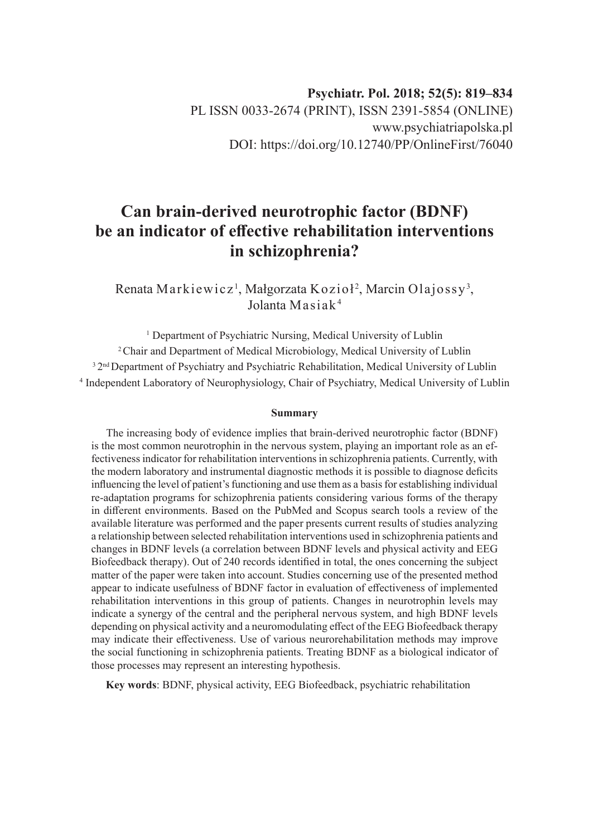# **Can brain-derived neurotrophic factor (BDNF) be an indicator of effective rehabilitation interventions in schizophrenia?**

Renata Markiewicz<sup>1</sup>, Małgorzata Kozioł<sup>2</sup>, Marcin Olajossy<sup>3</sup>, Jolanta Masiak<sup>4</sup>

<sup>1</sup> Department of Psychiatric Nursing, Medical University of Lublin <sup>2</sup> Chair and Department of Medical Microbiology, Medical University of Lublin <sup>3</sup> 2<sup>nd</sup> Department of Psychiatry and Psychiatric Rehabilitation, Medical University of Lublin 4 Independent Laboratory of Neurophysiology, Chair of Psychiatry, Medical University of Lublin

#### **Summary**

The increasing body of evidence implies that brain-derived neurotrophic factor (BDNF) is the most common neurotrophin in the nervous system, playing an important role as an effectiveness indicator for rehabilitation interventions in schizophrenia patients. Currently, with the modern laboratory and instrumental diagnostic methods it is possible to diagnose deficits influencing the level of patient's functioning and use them as a basis for establishing individual re-adaptation programs for schizophrenia patients considering various forms of the therapy in different environments. Based on the PubMed and Scopus search tools a review of the available literature was performed and the paper presents current results of studies analyzing a relationship between selected rehabilitation interventions used in schizophrenia patients and changes in BDNF levels (a correlation between BDNF levels and physical activity and EEG Biofeedback therapy). Out of 240 records identified in total, the ones concerning the subject matter of the paper were taken into account. Studies concerning use of the presented method appear to indicate usefulness of BDNF factor in evaluation of effectiveness of implemented rehabilitation interventions in this group of patients. Changes in neurotrophin levels may indicate a synergy of the central and the peripheral nervous system, and high BDNF levels depending on physical activity and a neuromodulating effect of the EEG Biofeedback therapy may indicate their effectiveness. Use of various neurorehabilitation methods may improve the social functioning in schizophrenia patients. Treating BDNF as a biological indicator of those processes may represent an interesting hypothesis.

**Key words**: BDNF, physical activity, EEG Biofeedback, psychiatric rehabilitation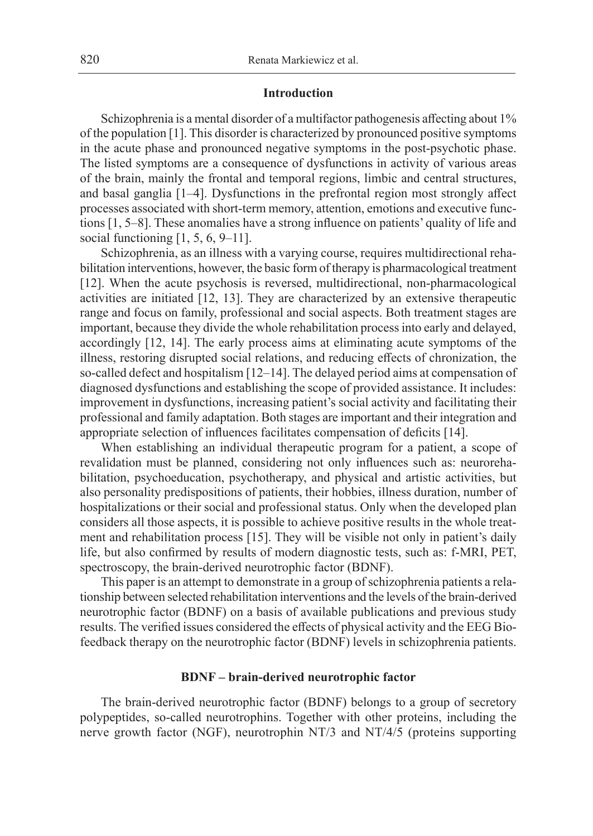## **Introduction**

Schizophrenia is a mental disorder of a multifactor pathogenesis affecting about 1% of the population [1]. This disorder is characterized by pronounced positive symptoms in the acute phase and pronounced negative symptoms in the post-psychotic phase. The listed symptoms are a consequence of dysfunctions in activity of various areas of the brain, mainly the frontal and temporal regions, limbic and central structures, and basal ganglia [1–4]. Dysfunctions in the prefrontal region most strongly affect processes associated with short-term memory, attention, emotions and executive functions [1, 5–8]. These anomalies have a strong influence on patients' quality of life and social functioning [1, 5, 6, 9–11].

Schizophrenia, as an illness with a varying course, requires multidirectional rehabilitation interventions, however, the basic form of therapy is pharmacological treatment [12]. When the acute psychosis is reversed, multidirectional, non-pharmacological activities are initiated [12, 13]. They are characterized by an extensive therapeutic range and focus on family, professional and social aspects. Both treatment stages are important, because they divide the whole rehabilitation process into early and delayed, accordingly [12, 14]. The early process aims at eliminating acute symptoms of the illness, restoring disrupted social relations, and reducing effects of chronization, the so-called defect and hospitalism [12–14]. The delayed period aims at compensation of diagnosed dysfunctions and establishing the scope of provided assistance. It includes: improvement in dysfunctions, increasing patient's social activity and facilitating their professional and family adaptation. Both stages are important and their integration and appropriate selection of influences facilitates compensation of deficits [14].

When establishing an individual therapeutic program for a patient, a scope of revalidation must be planned, considering not only influences such as: neurorehabilitation, psychoeducation, psychotherapy, and physical and artistic activities, but also personality predispositions of patients, their hobbies, illness duration, number of hospitalizations or their social and professional status. Only when the developed plan considers all those aspects, it is possible to achieve positive results in the whole treatment and rehabilitation process [15]. They will be visible not only in patient's daily life, but also confirmed by results of modern diagnostic tests, such as: f-MRI, PET, spectroscopy, the brain-derived neurotrophic factor (BDNF).

This paper is an attempt to demonstrate in a group of schizophrenia patients a relationship between selected rehabilitation interventions and the levels of the brain-derived neurotrophic factor (BDNF) on a basis of available publications and previous study results. The verified issues considered the effects of physical activity and the EEG Biofeedback therapy on the neurotrophic factor (BDNF) levels in schizophrenia patients.

## **BDNF – brain-derived neurotrophic factor**

The brain-derived neurotrophic factor (BDNF) belongs to a group of secretory polypeptides, so-called neurotrophins. Together with other proteins, including the nerve growth factor (NGF), neurotrophin NT/3 and NT/4/5 (proteins supporting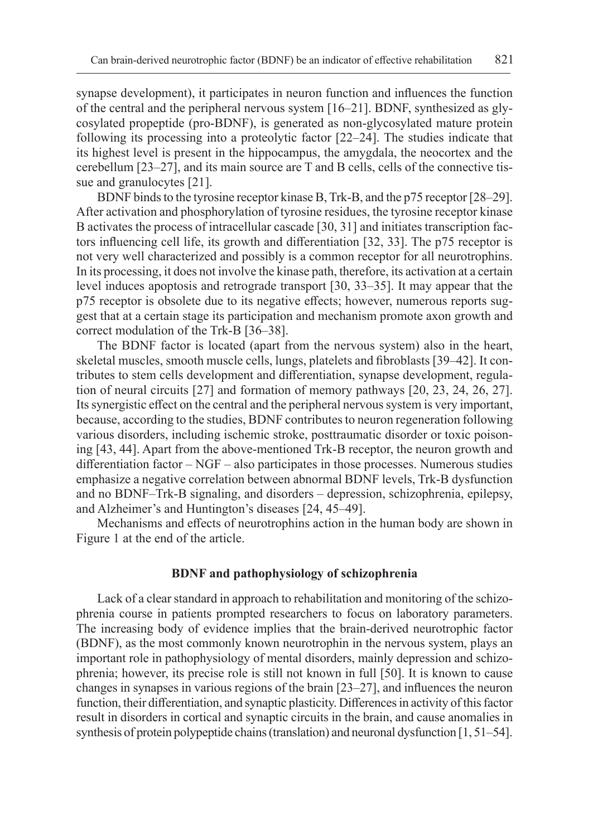synapse development), it participates in neuron function and influences the function of the central and the peripheral nervous system [16–21]. BDNF, synthesized as glycosylated propeptide (pro-BDNF), is generated as non-glycosylated mature protein following its processing into a proteolytic factor [22–24]. The studies indicate that its highest level is present in the hippocampus, the amygdala, the neocortex and the cerebellum [23–27], and its main source are T and B cells, cells of the connective tissue and granulocytes [21].

BDNF binds to the tyrosine receptor kinase B, Trk-B, and the p75 receptor [28–29]. After activation and phosphorylation of tyrosine residues, the tyrosine receptor kinase B activates the process of intracellular cascade [30, 31] and initiates transcription factors influencing cell life, its growth and differentiation [32, 33]. The p75 receptor is not very well characterized and possibly is a common receptor for all neurotrophins. In its processing, it does not involve the kinase path, therefore, its activation at a certain level induces apoptosis and retrograde transport [30, 33–35]. It may appear that the p75 receptor is obsolete due to its negative effects; however, numerous reports suggest that at a certain stage its participation and mechanism promote axon growth and correct modulation of the Trk-B [36–38].

The BDNF factor is located (apart from the nervous system) also in the heart, skeletal muscles, smooth muscle cells, lungs, platelets and fibroblasts [39–42]. It contributes to stem cells development and differentiation, synapse development, regulation of neural circuits [27] and formation of memory pathways [20, 23, 24, 26, 27]. Itssynergistic effect on the central and the peripheral nervous system is very important, because, according to the studies, BDNF contributes to neuron regeneration following various disorders, including ischemic stroke, posttraumatic disorder or toxic poisoning [43, 44]. Apart from the above-mentioned Trk-B receptor, the neuron growth and differentiation factor – NGF – also participates in those processes. Numerous studies emphasize a negative correlation between abnormal BDNF levels, Trk-B dysfunction and no BDNF–Trk-B signaling, and disorders – depression, schizophrenia, epilepsy, and Alzheimer's and Huntington's diseases [24, 45–49].

Mechanisms and effects of neurotrophins action in the human body are shown in Figure 1 at the end of the article.

## **BDNF and pathophysiology of schizophrenia**

Lack of a clear standard in approach to rehabilitation and monitoring of the schizophrenia course in patients prompted researchers to focus on laboratory parameters. The increasing body of evidence implies that the brain-derived neurotrophic factor (BDNF), as the most commonly known neurotrophin in the nervous system, plays an important role in pathophysiology of mental disorders, mainly depression and schizophrenia; however, its precise role is still not known in full [50]. It is known to cause changes in synapses in various regions of the brain [23–27], and influences the neuron function, their differentiation, and synaptic plasticity. Differences in activity of this factor result in disorders in cortical and synaptic circuits in the brain, and cause anomalies in synthesis of protein polypeptide chains (translation) and neuronal dysfunction [1, 51–54].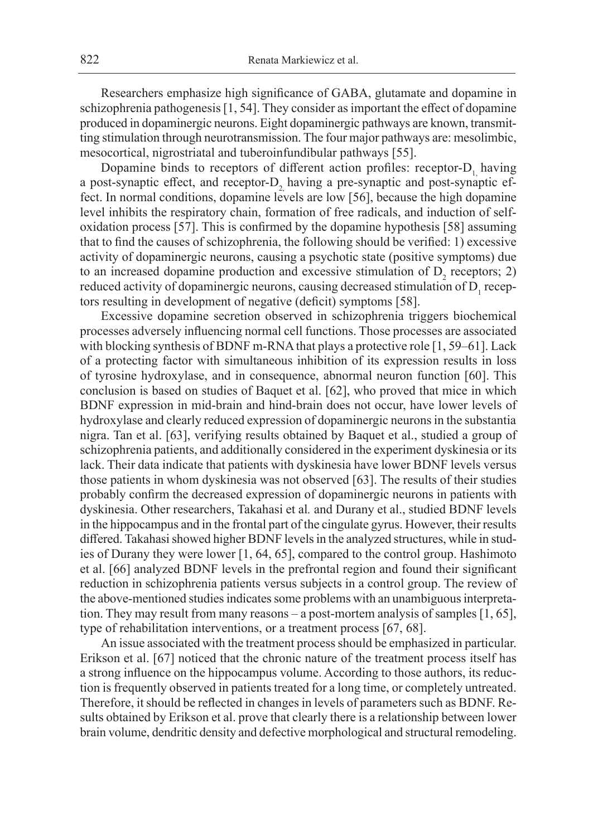Researchers emphasize high significance of GABA, glutamate and dopamine in schizophrenia pathogenesis [1, 54]. They consider as important the effect of dopamine produced in dopaminergic neurons. Eight dopaminergic pathways are known, transmitting stimulation through neurotransmission. The four major pathways are: mesolimbic, mesocortical, nigrostriatal and tuberoinfundibular pathways [55].

Dopamine binds to receptors of different action profiles: receptor- $D_1$  having a post-synaptic effect, and receptor-D, having a pre-synaptic and post-synaptic effect. In normal conditions, dopamine levels are low [56], because the high dopamine level inhibits the respiratory chain, formation of free radicals, and induction of selfoxidation process [57]. This is confirmed by the dopamine hypothesis [58] assuming that to find the causes of schizophrenia, the following should be verified: 1) excessive activity of dopaminergic neurons, causing a psychotic state (positive symptoms) due to an increased dopamine production and excessive stimulation of  $D_2$  receptors; 2) reduced activity of dopaminergic neurons, causing decreased stimulation of  $D_1$  receptors resulting in development of negative (deficit) symptoms [58].

Excessive dopamine secretion observed in schizophrenia triggers biochemical processes adversely influencing normal cell functions. Those processes are associated with blocking synthesis of BDNF m-RNA that plays a protective role [1, 59–61]. Lack of a protecting factor with simultaneous inhibition of its expression results in loss of tyrosine hydroxylase, and in consequence, abnormal neuron function [60]. This conclusion is based on studies of Baquet et al. [62], who proved that mice in which BDNF expression in mid-brain and hind-brain does not occur, have lower levels of hydroxylase and clearly reduced expression of dopaminergic neurons in the substantia nigra. Tan et al. [63], verifying results obtained by Baquet et al., studied a group of schizophrenia patients, and additionally considered in the experiment dyskinesia or its lack. Their data indicate that patients with dyskinesia have lower BDNF levels versus those patients in whom dyskinesia was not observed [63]. The results of their studies probably confirm the decreased expression of dopaminergic neurons in patients with dyskinesia. Other researchers, Takahasi et al*.* and Durany et al., studied BDNF levels in the hippocampus and in the frontal part of the cingulate gyrus. However, their results differed. Takahasi showed higher BDNF levels in the analyzed structures, while in studies of Durany they were lower [1, 64, 65], compared to the control group. Hashimoto et al. [66] analyzed BDNF levels in the prefrontal region and found their significant reduction in schizophrenia patients versus subjects in a control group. The review of the above-mentioned studies indicates some problems with an unambiguous interpretation. They may result from many reasons – a post-mortem analysis of samples [1, 65], type of rehabilitation interventions, or a treatment process [67, 68].

An issue associated with the treatment process should be emphasized in particular. Erikson et al. [67] noticed that the chronic nature of the treatment process itself has a strong influence on the hippocampus volume. According to those authors, its reduction is frequently observed in patients treated for a long time, or completely untreated. Therefore, it should be reflected in changes in levels of parameters such as BDNF. Results obtained by Erikson et al. prove that clearly there is a relationship between lower brain volume, dendritic density and defective morphological and structural remodeling.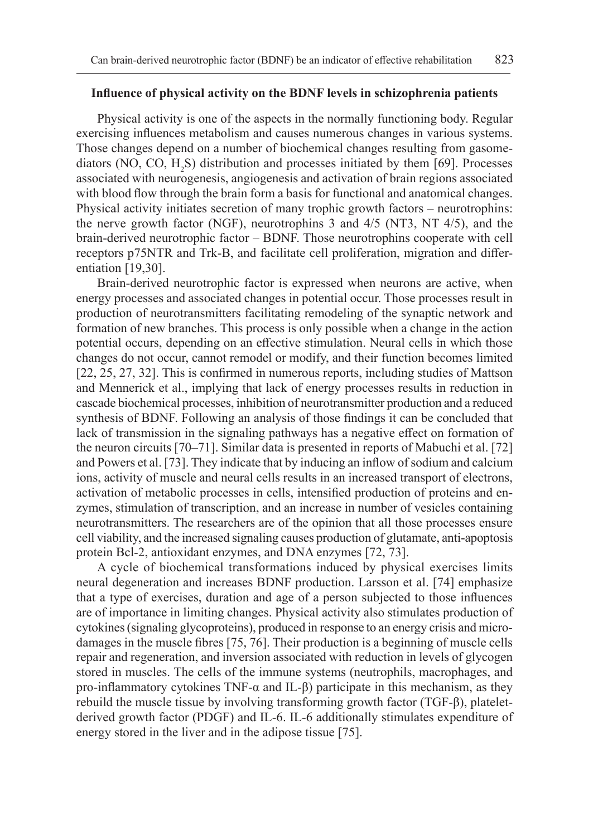## **Influence of physical activity on the BDNF levels in schizophrenia patients**

Physical activity is one of the aspects in the normally functioning body. Regular exercising influences metabolism and causes numerous changes in various systems. Those changes depend on a number of biochemical changes resulting from gasomediators (NO, CO,  $H_2S$ ) distribution and processes initiated by them [69]. Processes associated with neurogenesis, angiogenesis and activation of brain regions associated with blood flow through the brain form a basis for functional and anatomical changes. Physical activity initiates secretion of many trophic growth factors – neurotrophins: the nerve growth factor (NGF), neurotrophins 3 and 4/5 (NT3, NT 4/5), and the brain-derived neurotrophic factor – BDNF. Those neurotrophins cooperate with cell receptors p75NTR and Trk-B, and facilitate cell proliferation, migration and differentiation [19,30].

Brain-derived neurotrophic factor is expressed when neurons are active, when energy processes and associated changes in potential occur. Those processes result in production of neurotransmitters facilitating remodeling of the synaptic network and formation of new branches. This process is only possible when a change in the action potential occurs, depending on an effective stimulation. Neural cells in which those changes do not occur, cannot remodel or modify, and their function becomes limited [22, 25, 27, 32]. This is confirmed in numerous reports, including studies of Mattson and Mennerick et al., implying that lack of energy processes results in reduction in cascade biochemical processes, inhibition of neurotransmitter production and a reduced synthesis of BDNF. Following an analysis of those findings it can be concluded that lack of transmission in the signaling pathways has a negative effect on formation of the neuron circuits [70–71]. Similar data is presented in reports of Mabuchi et al. [72] and Powers et al. [73]. They indicate that by inducing an inflow of sodium and calcium ions, activity of muscle and neural cells results in an increased transport of electrons, activation of metabolic processes in cells, intensified production of proteins and enzymes, stimulation of transcription, and an increase in number of vesicles containing neurotransmitters. The researchers are of the opinion that all those processes ensure cell viability, and the increased signaling causes production of glutamate, anti-apoptosis protein Bcl-2, antioxidant enzymes, and DNA enzymes [72, 73].

A cycle of biochemical transformations induced by physical exercises limits neural degeneration and increases BDNF production. Larsson et al. [74] emphasize that a type of exercises, duration and age of a person subjected to those influences are of importance in limiting changes. Physical activity also stimulates production of cytokines (signaling glycoproteins), produced in response to an energy crisis and microdamages in the muscle fibres [75, 76]. Their production is a beginning of muscle cells repair and regeneration, and inversion associated with reduction in levels of glycogen stored in muscles. The cells of the immune systems (neutrophils, macrophages, and pro-inflammatory cytokines TNF- $\alpha$  and IL- $\beta$ ) participate in this mechanism, as they rebuild the muscle tissue by involving transforming growth factor (TGF-β), plateletderived growth factor (PDGF) and IL-6. IL-6 additionally stimulates expenditure of energy stored in the liver and in the adipose tissue [75].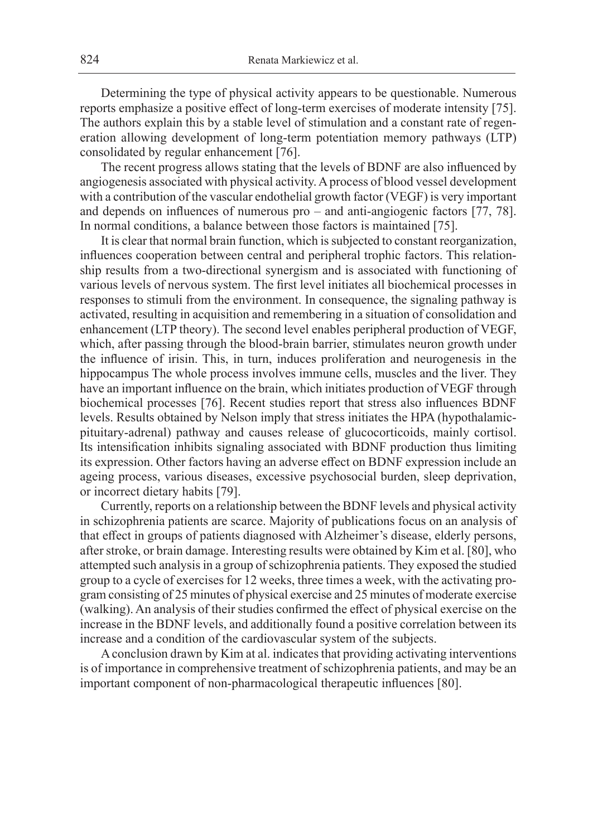Determining the type of physical activity appears to be questionable. Numerous reports emphasize a positive effect of long-term exercises of moderate intensity [75]. The authors explain this by a stable level of stimulation and a constant rate of regeneration allowing development of long-term potentiation memory pathways (LTP) consolidated by regular enhancement [76].

The recent progress allows stating that the levels of BDNF are also influenced by angiogenesis associated with physical activity. A process of blood vessel development with a contribution of the vascular endothelial growth factor (VEGF) is very important and depends on influences of numerous pro – and anti-angiogenic factors [77, 78]. In normal conditions, a balance between those factors is maintained [75].

It is clear that normal brain function, which is subjected to constant reorganization, influences cooperation between central and peripheral trophic factors. This relationship results from a two-directional synergism and is associated with functioning of various levels of nervous system. The first level initiates all biochemical processes in responses to stimuli from the environment. In consequence, the signaling pathway is activated, resulting in acquisition and remembering in a situation of consolidation and enhancement (LTP theory). The second level enables peripheral production of VEGF, which, after passing through the blood-brain barrier, stimulates neuron growth under the influence of irisin. This, in turn, induces proliferation and neurogenesis in the hippocampus The whole process involves immune cells, muscles and the liver. They have an important influence on the brain, which initiates production of VEGF through biochemical processes [76]. Recent studies report that stress also influences BDNF levels. Results obtained by Nelson imply that stress initiates the HPA (hypothalamicpituitary-adrenal) pathway and causes release of glucocorticoids, mainly cortisol. Its intensification inhibits signaling associated with BDNF production thus limiting its expression. Other factors having an adverse effect on BDNF expression include an ageing process, various diseases, excessive psychosocial burden, sleep deprivation, or incorrect dietary habits [79].

Currently, reports on a relationship between the BDNF levels and physical activity in schizophrenia patients are scarce. Majority of publications focus on an analysis of that effect in groups of patients diagnosed with Alzheimer's disease, elderly persons, after stroke, or brain damage. Interesting results were obtained by Kim et al. [80], who attempted such analysis in a group of schizophrenia patients. They exposed the studied group to a cycle of exercises for 12 weeks, three times a week, with the activating program consisting of 25 minutes of physical exercise and 25 minutes of moderate exercise (walking). An analysis of their studies confirmed the effect of physical exercise on the increase in the BDNF levels, and additionally found a positive correlation between its increase and a condition of the cardiovascular system of the subjects.

A conclusion drawn by Kim at al. indicates that providing activating interventions is of importance in comprehensive treatment of schizophrenia patients, and may be an important component of non-pharmacological therapeutic influences [80].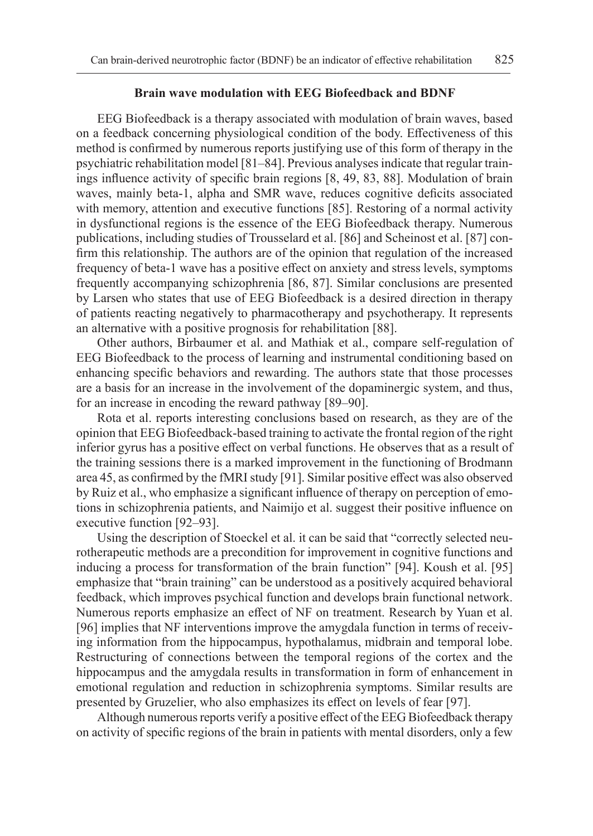#### **Brain wave modulation with EEG Biofeedback and BDNF**

EEG Biofeedback is a therapy associated with modulation of brain waves, based on a feedback concerning physiological condition of the body. Effectiveness of this method is confirmed by numerous reports justifying use of this form of therapy in the psychiatric rehabilitation model [81–84]. Previous analyses indicate that regular trainings influence activity of specific brain regions [8, 49, 83, 88]. Modulation of brain waves, mainly beta-1, alpha and SMR wave, reduces cognitive deficits associated with memory, attention and executive functions [85]. Restoring of a normal activity in dysfunctional regions is the essence of the EEG Biofeedback therapy. Numerous publications, including studies of Trousselard et al. [86] and Scheinost et al. [87] confirm this relationship. The authors are of the opinion that regulation of the increased frequency of beta-1 wave has a positive effect on anxiety and stress levels, symptoms frequently accompanying schizophrenia [86, 87]. Similar conclusions are presented by Larsen who states that use of EEG Biofeedback is a desired direction in therapy of patients reacting negatively to pharmacotherapy and psychotherapy. It represents an alternative with a positive prognosis for rehabilitation [88].

Other authors, Birbaumer et al. and Mathiak et al., compare self-regulation of EEG Biofeedback to the process of learning and instrumental conditioning based on enhancing specific behaviors and rewarding. The authors state that those processes are a basis for an increase in the involvement of the dopaminergic system, and thus, for an increase in encoding the reward pathway [89–90].

Rota et al. reports interesting conclusions based on research, as they are of the opinion that EEG Biofeedback-based training to activate the frontal region of the right inferior gyrus has a positive effect on verbal functions. He observes that as a result of the training sessions there is a marked improvement in the functioning of Brodmann area 45, as confirmed by the fMRI study [91]. Similar positive effect was also observed by Ruiz et al., who emphasize a significant influence of therapy on perception of emotions in schizophrenia patients, and Naimijo et al. suggest their positive influence on executive function [92–93].

Using the description of Stoeckel et al. it can be said that "correctly selected neurotherapeutic methods are a precondition for improvement in cognitive functions and inducing a process for transformation of the brain function" [94]. Koush et al. [95] emphasize that "brain training" can be understood as a positively acquired behavioral feedback, which improves psychical function and develops brain functional network. Numerous reports emphasize an effect of NF on treatment. Research by Yuan et al. [96] implies that NF interventions improve the amygdala function in terms of receiving information from the hippocampus, hypothalamus, midbrain and temporal lobe. Restructuring of connections between the temporal regions of the cortex and the hippocampus and the amygdala results in transformation in form of enhancement in emotional regulation and reduction in schizophrenia symptoms. Similar results are presented by Gruzelier, who also emphasizes its effect on levels of fear [97].

Although numerous reports verify a positive effect of the EEG Biofeedback therapy on activity of specific regions of the brain in patients with mental disorders, only a few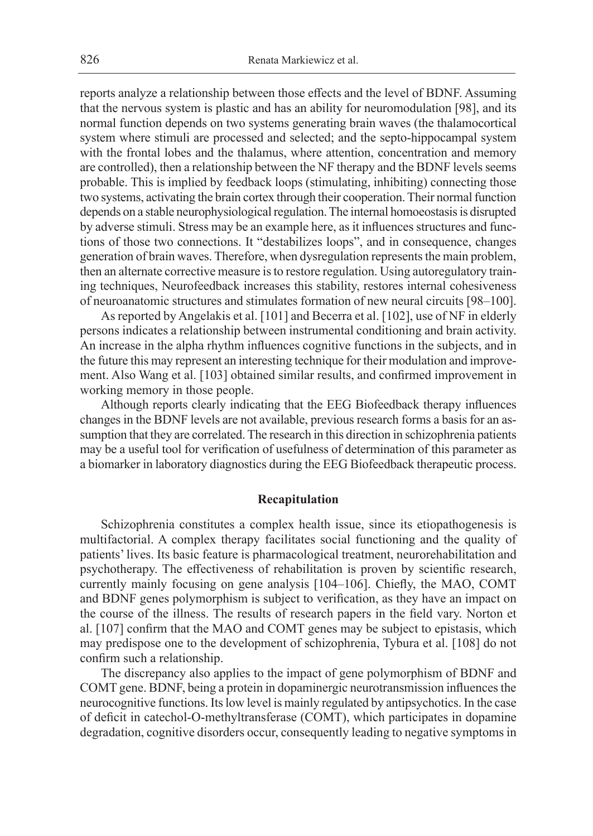reports analyze a relationship between those effects and the level of BDNF. Assuming that the nervous system is plastic and has an ability for neuromodulation [98], and its normal function depends on two systems generating brain waves (the thalamocortical system where stimuli are processed and selected; and the septo-hippocampal system with the frontal lobes and the thalamus, where attention, concentration and memory are controlled), then a relationship between the NF therapy and the BDNF levels seems probable. This is implied by feedback loops (stimulating, inhibiting) connecting those two systems, activating the brain cortex through their cooperation. Their normal function depends on a stable neurophysiological regulation. The internal homoeostasis is disrupted by adverse stimuli. Stress may be an example here, as it influences structures and functions of those two connections. It "destabilizes loops", and in consequence, changes generation of brain waves. Therefore, when dysregulation represents the main problem, then an alternate corrective measure is to restore regulation. Using autoregulatory training techniques, Neurofeedback increases this stability, restores internal cohesiveness of neuroanatomic structures and stimulates formation of new neural circuits [98–100].

As reported by Angelakis et al. [101] and Becerra et al. [102], use of NF in elderly persons indicates a relationship between instrumental conditioning and brain activity. An increase in the alpha rhythm influences cognitive functions in the subjects, and in the future this may represent an interesting technique for their modulation and improvement. Also Wang et al. [103] obtained similar results, and confirmed improvement in working memory in those people.

Although reports clearly indicating that the EEG Biofeedback therapy influences changes in the BDNF levels are not available, previous research forms a basis for an assumption that they are correlated. The research in this direction in schizophrenia patients may be a useful tool for verification of usefulness of determination of this parameter as a biomarker in laboratory diagnostics during the EEG Biofeedback therapeutic process.

#### **Recapitulation**

Schizophrenia constitutes a complex health issue, since its etiopathogenesis is multifactorial. A complex therapy facilitates social functioning and the quality of patients' lives. Its basic feature is pharmacological treatment, neurorehabilitation and psychotherapy. The effectiveness of rehabilitation is proven by scientific research, currently mainly focusing on gene analysis [104–106]. Chiefly, the MAO, COMT and BDNF genes polymorphism is subject to verification, as they have an impact on the course of the illness. The results of research papers in the field vary. Norton et al. [107] confirm that the MAO and COMT genes may be subject to epistasis, which may predispose one to the development of schizophrenia, Tybura et al. [108] do not confirm such a relationship.

The discrepancy also applies to the impact of gene polymorphism of BDNF and COMT gene. BDNF, being a protein in dopaminergic neurotransmission influences the neurocognitive functions. Its low level is mainly regulated by antipsychotics. In the case of deficit in catechol-O-methyltransferase (COMT), which participates in dopamine degradation, cognitive disorders occur, consequently leading to negative symptoms in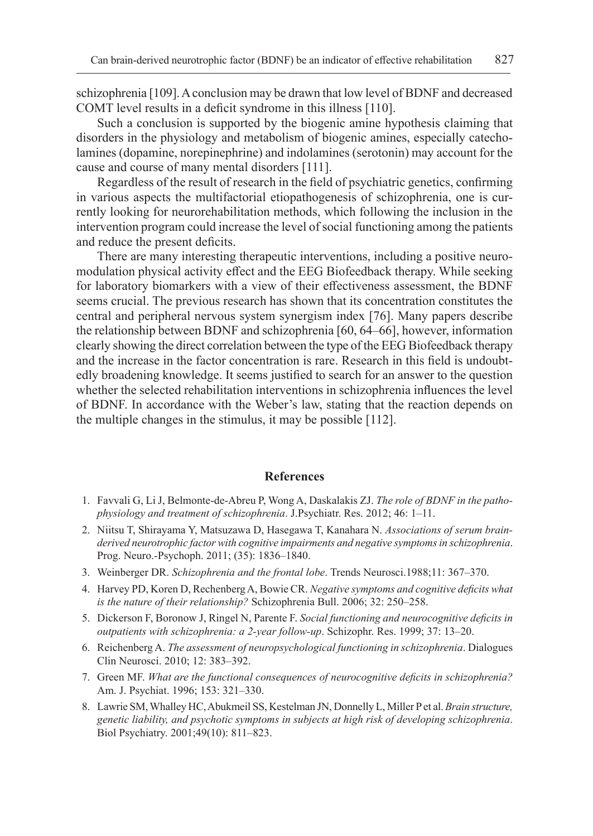schizophrenia [109]. A conclusion may be drawn that low level of BDNF and decreased COMT level results in a deficit syndrome in this illness [110].

Such a conclusion is supported by the biogenic amine hypothesis claiming that disorders in the physiology and metabolism of biogenic amines, especially catecholamines (dopamine, norepinephrine) and indolamines (serotonin) may account for the cause and course of many mental disorders [111].

Regardless of the result of research in the field of psychiatric genetics, confirming in various aspects the multifactorial etiopathogenesis of schizophrenia, one is currently looking for neurorehabilitation methods, which following the inclusion in the intervention program could increase the level of social functioning among the patients and reduce the present deficits.

There are many interesting therapeutic interventions, including a positive neuromodulation physical activity effect and the EEG Biofeedback therapy. While seeking for laboratory biomarkers with a view of their effectiveness assessment, the BDNF seems crucial. The previous research has shown that its concentration constitutes the central and peripheral nervous system synergism index [76]. Many papers describe the relationship between BDNF and schizophrenia [60, 64–66], however, information clearly showing the direct correlation between the type of the EEG Biofeedback therapy and the increase in the factor concentration is rare. Research in this field is undoubtedly broadening knowledge. It seems justified to search for an answer to the question whether the selected rehabilitation interventions in schizophrenia influences the level of BDNF. In accordance with the Weber's law, stating that the reaction depends on the multiple changes in the stimulus, it may be possible [112].

#### **References**

- 1. Favvali G, Li J, Belmonte-de-Abreu P, Wong A, Daskalakis ZJ. *The role of BDNF in the pathophysiology and treatment of schizophrenia*. J.Psychiatr. Res. 2012; 46: 1–11.
- 2. Niitsu T, Shirayama Y, Matsuzawa D, Hasegawa T, Kanahara N. *Associations of serum brainderived neurotrophic factor with cognitive impairments and negative symptoms in schizophrenia*. Prog. Neuro.-Psychoph. 2011; (35): 1836–1840.
- 3. Weinberger DR. *Schizophrenia and the frontal lobe*. Trends Neurosci.1988;11: 367–370.
- 4. Harvey PD, Koren D, Rechenberg A, Bowie CR. *Negative symptoms and cognitive deficits what is the nature of their relationship?* Schizophrenia Bull. 2006; 32: 250–258.
- 5. Dickerson F, Boronow J, Ringel N, Parente F. *Social functioning and neurocognitive deficits in outpatients with schizophrenia: a 2-year follow-up*. Schizophr. Res. 1999; 37: 13–20.
- 6. Reichenberg A. *The assessment of neuropsychological functioning in schizophrenia*. Dialogues Clin Neurosci. 2010; 12: 383–392.
- 7. Green MF. *What are the functional consequences of neurocognitive deficits in schizophrenia?*  Am. J. Psychiat. 1996; 153: 321–330.
- 8. Lawrie SM, Whalley HC, Abukmeil SS, Kestelman JN, Donnelly L, Miller P et al. *Brain structure, genetic liability, and psychotic symptoms in subjects at high risk of developing schizophrenia*. Biol Psychiatry. 2001;49(10): 811–823.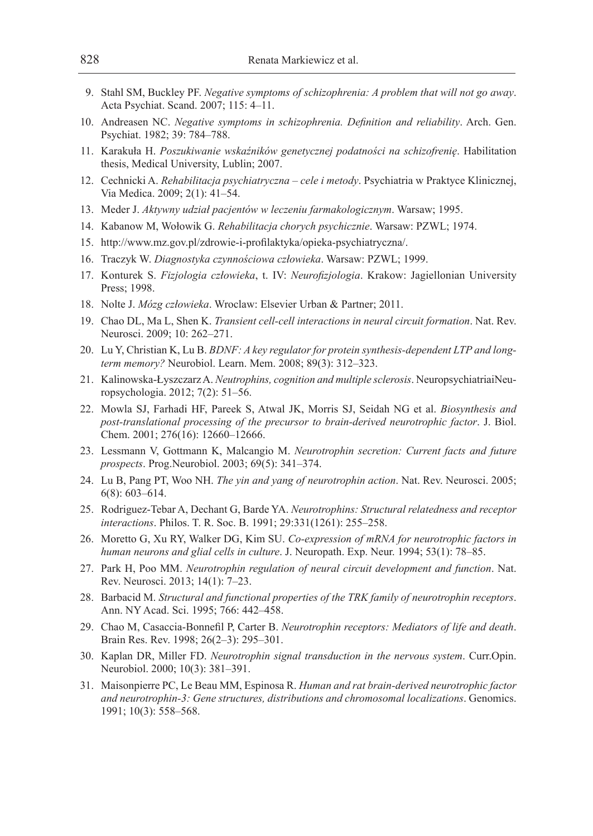- 9. Stahl SM, Buckley PF. *Negative symptoms of schizophrenia: A problem that will not go away*. Acta Psychiat. Scand. 2007; 115: 4–11.
- 10. Andreasen NC. *Negative symptoms in schizophrenia. Definition and reliability*. Arch. Gen. Psychiat. 1982; 39: 784–788.
- 11. Karakuła H. *Poszukiwanie wskaźników genetycznej podatności na schizofrenię*. Habilitation thesis, Medical University, Lublin; 2007.
- 12. Cechnicki A. *Rehabilitacja psychiatryczna cele i metody*. Psychiatria w Praktyce Klinicznej, Via Medica. 2009; 2(1): 41–54.
- 13. Meder J. *Aktywny udział pacjentów w leczeniu farmakologicznym*. Warsaw; 1995.
- 14. Kabanow M, Wołowik G. *Rehabilitacja chorych psychicznie*. Warsaw: PZWL; 1974.
- 15. http://www.mz.gov.pl/zdrowie-i-profilaktyka/opieka-psychiatryczna/.
- 16. Traczyk W. *Diagnostyka czynnościowa człowieka*. Warsaw: PZWL; 1999.
- 17. Konturek S. *Fizjologia człowieka*, t. IV: *Neurofizjologia*. Krakow: Jagiellonian University Press; 1998.
- 18. Nolte J. *Mózg człowieka*. Wroclaw: Elsevier Urban & Partner; 2011.
- 19. Chao DL, Ma L, Shen K. *Transient cell-cell interactions in neural circuit formation*. Nat. Rev. Neurosci. 2009; 10: 262–271.
- 20. Lu Y, Christian K, Lu B. *BDNF: A key regulator for protein synthesis-dependent LTP and longterm memory?* Neurobiol. Learn. Mem. 2008; 89(3): 312–323.
- 21. Kalinowska-Łyszczarz A. *Neutrophins, cognition and multiple sclerosis*. NeuropsychiatriaiNeuropsychologia. 2012; 7(2): 51–56.
- 22. Mowla SJ, Farhadi HF, Pareek S, Atwal JK, Morris SJ, Seidah NG et al. *Biosynthesis and post-translational processing of the precursor to brain-derived neurotrophic factor*. J. Biol. Chem. 2001; 276(16): 12660–12666.
- 23. Lessmann V, Gottmann K, Malcangio M. *Neurotrophin secretion: Current facts and future prospects*. Prog.Neurobiol. 2003; 69(5): 341–374.
- 24. Lu B, Pang PT, Woo NH. *The yin and yang of neurotrophin action*. Nat. Rev. Neurosci. 2005; 6(8): 603–614.
- 25. Rodriguez-Tebar A, Dechant G, Barde YA. *Neurotrophins: Structural relatedness and receptor interactions*. Philos. T. R. Soc. B. 1991; 29:331(1261): 255–258.
- 26. Moretto G, Xu RY, Walker DG, Kim SU. *Co-expression of mRNA for neurotrophic factors in human neurons and glial cells in culture*. J. Neuropath. Exp. Neur. 1994; 53(1): 78–85.
- 27. Park H, Poo MM. *Neurotrophin regulation of neural circuit development and function*. Nat. Rev. Neurosci. 2013; 14(1): 7–23.
- 28. Barbacid M. *Structural and functional properties of the TRK family of neurotrophin receptors*. Ann. NY Acad. Sci. 1995; 766: 442–458.
- 29. Chao M, Casaccia-Bonnefil P, Carter B. *Neurotrophin receptors: Mediators of life and death*. Brain Res. Rev. 1998; 26(2–3): 295–301.
- 30. Kaplan DR, Miller FD. *Neurotrophin signal transduction in the nervous system*. Curr.Opin. Neurobiol. 2000; 10(3): 381–391.
- 31. Maisonpierre PC, Le Beau MM, Espinosa R. *Human and rat brain-derived neurotrophic factor and neurotrophin-3: Gene structures, distributions and chromosomal localizations*. Genomics. 1991; 10(3): 558–568.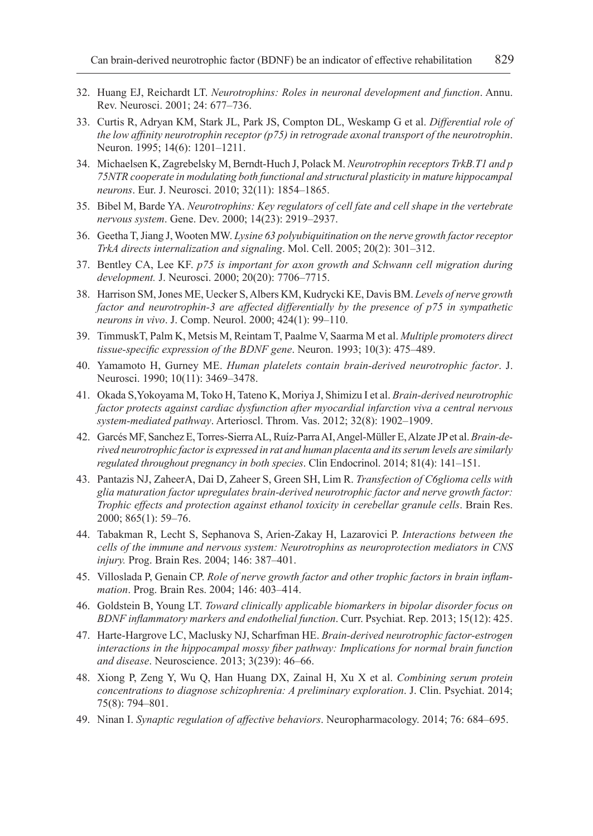- 32. Huang EJ, Reichardt LT. *Neurotrophins: Roles in neuronal development and function*. Annu. Rev. Neurosci. 2001; 24: 677–736.
- 33. Curtis R, Adryan KM, Stark JL, Park JS, Compton DL, Weskamp G et al. *Differential role of the low affinity neurotrophin receptor (p75) in retrograde axonal transport of the neurotrophin*. Neuron. 1995; 14(6): 1201–1211.
- 34. Michaelsen K, Zagrebelsky M, Berndt-Huch J, Polack M. *Neurotrophin receptors TrkB.T1 and p 75NTR cooperate in modulating both functional and structural plasticity in mature hippocampal neurons*. Eur. J. Neurosci. 2010; 32(11): 1854–1865.
- 35. Bibel M, Barde YA. *Neurotrophins: Key regulators of cell fate and cell shape in the vertebrate nervous system*. Gene. Dev. 2000; 14(23): 2919–2937.
- 36. Geetha T, Jiang J, Wooten MW. *Lysine 63 polyubiquitination on the nerve growth factor receptor TrkA directs internalization and signaling*. Mol. Cell. 2005; 20(2): 301–312.
- 37. Bentley CA, Lee KF. *p75 is important for axon growth and Schwann cell migration during development.* J. Neurosci. 2000; 20(20): 7706–7715.
- 38. Harrison SM, Jones ME, Uecker S, Albers KM, Kudrycki KE, Davis BM. *Levels of nerve growth factor and neurotrophin-3 are affected differentially by the presence of p75 in sympathetic neurons in vivo*. J. Comp. Neurol. 2000; 424(1): 99–110.
- 39. TimmuskT, Palm K, Metsis M, Reintam T, Paalme V, Saarma M et al. *Multiple promoters direct tissue-specific expression of the BDNF gene*. Neuron. 1993; 10(3): 475–489.
- 40. Yamamoto H, Gurney ME. *Human platelets contain brain-derived neurotrophic factor*. J. Neurosci. 1990; 10(11): 3469–3478.
- 41. Okada S,Yokoyama M, Toko H, Tateno K, Moriya J, Shimizu I et al. *Brain-derived neurotrophic factor protects against cardiac dysfunction after myocardial infarction viva a central nervous system-mediated pathway*. Arterioscl. Throm. Vas. 2012; 32(8): 1902–1909.
- 42. Garcés MF, Sanchez E, Torres-Sierra AL, Ruíz-Parra AI, Angel-Müller E, Alzate JP et al. *Brain-derived neurotrophic factor is expressed in rat and human placenta and its serum levels are similarly regulated throughout pregnancy in both species*. Clin Endocrinol. 2014; 81(4): 141–151.
- 43. Pantazis NJ, ZaheerA, Dai D, Zaheer S, Green SH, Lim R. *Transfection of C6glioma cells with glia maturation factor upregulates brain-derived neurotrophic factor and nerve growth factor: Trophic effects and protection against ethanol toxicity in cerebellar granule cells*. Brain Res. 2000; 865(1): 59–76.
- 44. Tabakman R, Lecht S, Sephanova S, Arien-Zakay H, Lazarovici P. *Interactions between the cells of the immune and nervous system: Neurotrophins as neuroprotection mediators in CNS injury.* Prog. Brain Res. 2004; 146: 387–401.
- 45. Villoslada P, Genain CP. *Role of nerve growth factor and other trophic factors in brain inflammation*. Prog. Brain Res. 2004; 146: 403–414.
- 46. Goldstein B, Young LT. *Toward clinically applicable biomarkers in bipolar disorder focus on BDNF inflammatory markers and endothelial function*. Curr. Psychiat. Rep. 2013; 15(12): 425.
- 47. Harte-Hargrove LC, Maclusky NJ, Scharfman HE. *Brain-derived neurotrophic factor-estrogen interactions in the hippocampal mossy fiber pathway: Implications for normal brain function and disease*. Neuroscience. 2013; 3(239): 46–66.
- 48. Xiong P, Zeng Y, Wu Q, Han Huang DX, Zainal H, Xu X et al. *Combining serum protein concentrations to diagnose schizophrenia: A preliminary exploration*. J. Clin. Psychiat. 2014; 75(8): 794–801.
- 49. Ninan I. *Synaptic regulation of affective behaviors*. Neuropharmacology. 2014; 76: 684–695.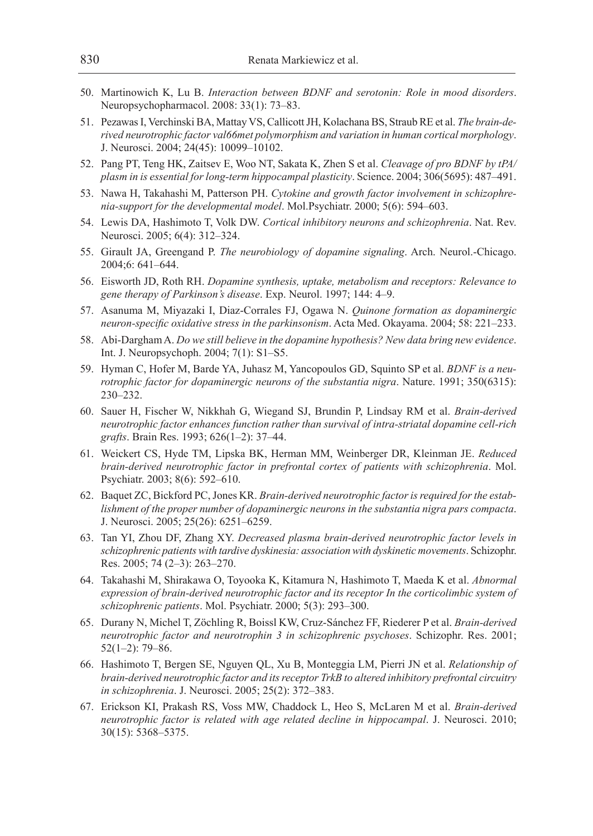- 50. Martinowich K, Lu B. *Interaction between BDNF and serotonin: Role in mood disorders*. Neuropsychopharmacol. 2008: 33(1): 73–83.
- 51. Pezawas I, Verchinski BA, Mattay VS, Callicott JH, Kolachana BS, Straub RE et al. *The brain-derived neurotrophic factor val66met polymorphism and variation in human cortical morphology*. J. Neurosci. 2004; 24(45): 10099–10102.
- 52. Pang PT, Teng HK, Zaitsev E, Woo NT, Sakata K, Zhen S et al. *Cleavage of pro BDNF by tPA/ plasm in is essential for long-term hippocampal plasticity*. Science. 2004; 306(5695): 487–491.
- 53. Nawa H, Takahashi M, Patterson PH. *Cytokine and growth factor involvement in schizophrenia-support for the developmental model*. Mol.Psychiatr. 2000; 5(6): 594–603.
- 54. Lewis DA, Hashimoto T, Volk DW. *Cortical inhibitory neurons and schizophrenia*. Nat. Rev. Neurosci. 2005; 6(4): 312–324.
- 55. Girault JA, Greengand P. *The neurobiology of dopamine signaling*. Arch. Neurol.-Chicago. 2004;6: 641–644.
- 56. Eisworth JD, Roth RH. *Dopamine synthesis, uptake, metabolism and receptors: Relevance to gene therapy of Parkinson's disease*. Exp. Neurol. 1997; 144: 4–9.
- 57. Asanuma M, Miyazaki I, Diaz-Corrales FJ, Ogawa N. *Quinone formation as dopaminergic neuron-specific oxidative stress in the parkinsonism*. Acta Med. Okayama. 2004; 58: 221–233.
- 58. Abi-Dargham A. *Do we still believe in the dopamine hypothesis? New data bring new evidence*. Int. J. Neuropsychoph. 2004; 7(1): S1–S5.
- 59. Hyman C, Hofer M, Barde YA, Juhasz M, Yancopoulos GD, Squinto SP et al. *BDNF is a neurotrophic factor for dopaminergic neurons of the substantia nigra*. Nature. 1991; 350(6315): 230–232.
- 60. Sauer H, Fischer W, Nikkhah G, Wiegand SJ, Brundin P, Lindsay RM et al. *Brain-derived neurotrophic factor enhances function rather than survival of intra-striatal dopamine cell-rich grafts*. Brain Res. 1993; 626(1–2): 37–44.
- 61. Weickert CS, Hyde TM, Lipska BK, Herman MM, Weinberger DR, Kleinman JE. *Reduced brain-derived neurotrophic factor in prefrontal cortex of patients with schizophrenia*. Mol. Psychiatr. 2003; 8(6): 592–610.
- 62. Baquet ZC, Bickford PC, Jones KR. *Brain-derived neurotrophic factor is required for the establishment of the proper number of dopaminergic neurons in the substantia nigra pars compacta*. J. Neurosci. 2005; 25(26): 6251–6259.
- 63. Tan YI, Zhou DF, Zhang XY. *Decreased plasma brain-derived neurotrophic factor levels in schizophrenic patients with tardive dyskinesia: association with dyskinetic movements*. Schizophr. Res. 2005; 74 (2–3): 263–270.
- 64. Takahashi M, Shirakawa O, Toyooka K, Kitamura N, Hashimoto T, Maeda K et al. *Abnormal expression of brain-derived neurotrophic factor and its receptor In the corticolimbic system of schizophrenic patients*. Mol. Psychiatr. 2000; 5(3): 293–300.
- 65. Durany N, Michel T, Zöchling R, Boissl KW, Cruz-Sánchez FF, Riederer P et al. *Brain-derived neurotrophic factor and neurotrophin 3 in schizophrenic psychoses*. Schizophr. Res. 2001; 52(1–2): 79–86.
- 66. Hashimoto T, Bergen SE, Nguyen QL, Xu B, Monteggia LM, Pierri JN et al. *Relationship of brain-derived neurotrophic factor and its receptor TrkB to altered inhibitory prefrontal circuitry in schizophrenia*. J. Neurosci. 2005; 25(2): 372–383.
- 67. Erickson KI, Prakash RS, Voss MW, Chaddock L, Heo S, McLaren M et al. *Brain-derived neurotrophic factor is related with age related decline in hippocampal*. J. Neurosci. 2010; 30(15): 5368–5375.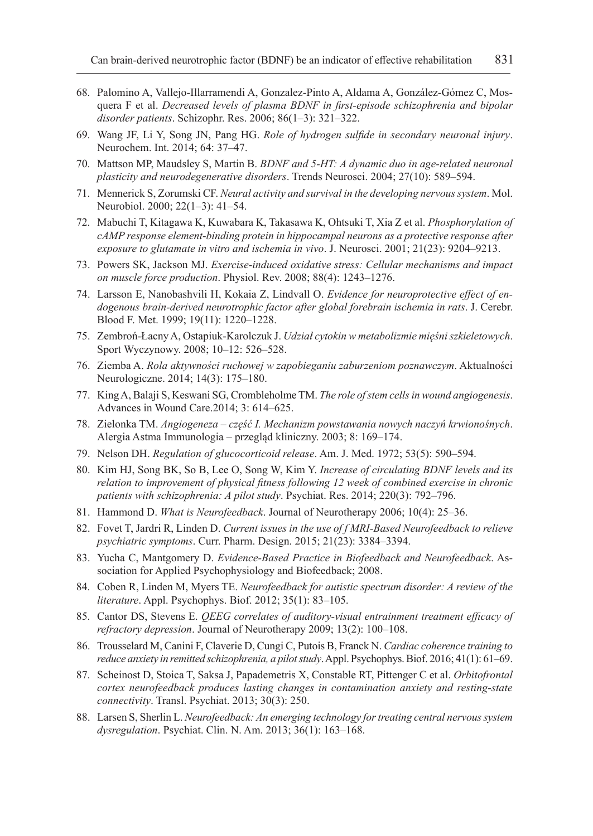- 68. Palomino A, Vallejo-Illarramendi A, Gonzalez-Pinto A, Aldama A, González-Gómez C, Mosquera F et al. *Decreased levels of plasma BDNF in first-episode schizophrenia and bipolar disorder patients*. Schizophr. Res. 2006; 86(1–3): 321–322.
- 69. Wang JF, Li Y, Song JN, Pang HG. *Role of hydrogen sulfide in secondary neuronal injury*. Neurochem. Int. 2014; 64: 37–47.
- 70. Mattson MP, Maudsley S, Martin B. *BDNF and 5-HT: A dynamic duo in age-related neuronal plasticity and neurodegenerative disorders*. Trends Neurosci. 2004; 27(10): 589–594.
- 71. Mennerick S, Zorumski CF. *Neural activity and survival in the developing nervous system*. Mol. Neurobiol. 2000; 22(1–3): 41–54.
- 72. Mabuchi T, Kitagawa K, Kuwabara K, Takasawa K, Ohtsuki T, Xia Z et al. *Phosphorylation of cAMP response element-binding protein in hippocampal neurons as a protective response after exposure to glutamate in vitro and ischemia in vivo*. J. Neurosci. 2001; 21(23): 9204–9213.
- 73. Powers SK, Jackson MJ. *Exercise-induced oxidative stress: Cellular mechanisms and impact on muscle force production*. Physiol. Rev. 2008; 88(4): 1243–1276.
- 74. Larsson E, Nanobashvili H, Kokaia Z, Lindvall O. *Evidence for neuroprotective effect of endogenous brain-derived neurotrophic factor after global forebrain ischemia in rats*. J. Cerebr. Blood F. Met. 1999; 19(11): 1220–1228.
- 75. Zembroń-Łacny A, Ostapiuk-Karolczuk J. *Udział cytokin w metabolizmie mięśni szkieletowych*. Sport Wyczynowy. 2008; 10–12: 526–528.
- 76. Ziemba A. *Rola aktywności ruchowej w zapobieganiu zaburzeniom poznawczym*. Aktualności Neurologiczne. 2014; 14(3): 175–180.
- 77. King A, Balaji S, Keswani SG, Crombleholme TM. *The role of stem cells in wound angiogenesis*. Advances in Wound Care.2014; 3: 614–625.
- 78. Zielonka TM. *Angiogeneza część I. Mechanizm powstawania nowych naczyń krwionośnych*. Alergia Astma Immunologia – przegląd kliniczny. 2003; 8: 169–174.
- 79. Nelson DH. *Regulation of glucocorticoid release*. Am. J. Med. 1972; 53(5): 590–594.
- 80. Kim HJ, Song BK, So B, Lee O, Song W, Kim Y. *Increase of circulating BDNF levels and its relation to improvement of physical fitness following 12 week of combined exercise in chronic patients with schizophrenia: A pilot study*. Psychiat. Res. 2014; 220(3): 792–796.
- 81. Hammond D. *What is Neurofeedback*. Journal of Neurotherapy 2006; 10(4): 25–36.
- 82. Fovet T, Jardri R, Linden D. *Current issues in the use of f MRI-Based Neurofeedback to relieve psychiatric symptoms*. Curr. Pharm. Design. 2015; 21(23): 3384–3394.
- 83. Yucha C, Mantgomery D. *Evidence-Based Practice in Biofeedback and Neurofeedback*. Association for Applied Psychophysiology and Biofeedback; 2008.
- 84. Coben R, Linden M, Myers TE. *Neurofeedback for autistic spectrum disorder: A review of the literature*. Appl. Psychophys. Biof. 2012; 35(1): 83–105.
- 85. Cantor DS, Stevens E. *QEEG correlates of auditory-visual entrainment treatment efficacy of refractory depression*. Journal of Neurotherapy 2009; 13(2): 100–108.
- 86. Trousselard M, Canini F, Claverie D, Cungi C, Putois B, Franck N. *Cardiac coherence training to reduce anxiety in remitted schizophrenia, a pilot study*. Appl. Psychophys. Biof. 2016; 41(1): 61–69.
- 87. Scheinost D, Stoica T, Saksa J, Papademetris X, Constable RT, Pittenger C et al. *Orbitofrontal cortex neurofeedback produces lasting changes in contamination anxiety and resting-state connectivity*. Transl. Psychiat. 2013; 30(3): 250.
- 88. Larsen S, Sherlin L. *Neurofeedback: An emerging technology for treating central nervous system dysregulation*. Psychiat. Clin. N. Am. 2013; 36(1): 163–168.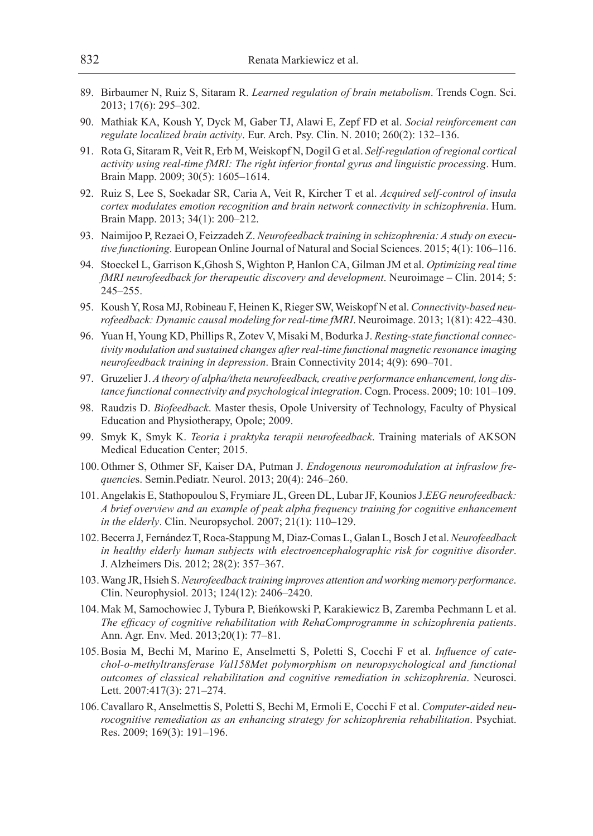- 89. Birbaumer N, Ruiz S, Sitaram R. *Learned regulation of brain metabolism*. Trends Cogn. Sci. 2013; 17(6): 295–302.
- 90. Mathiak KA, Koush Y, Dyck M, Gaber TJ, Alawi E, Zepf FD et al. *Social reinforcement can regulate localized brain activity*. Eur. Arch. Psy. Clin. N. 2010; 260(2): 132–136.
- 91. Rota G, Sitaram R, Veit R, Erb M, Weiskopf N, Dogil G et al. *Self-regulation of regional cortical activity using real-time fMRI: The right inferior frontal gyrus and linguistic processing*. Hum. Brain Mapp. 2009; 30(5): 1605–1614.
- 92. Ruiz S, Lee S, Soekadar SR, Caria A, Veit R, Kircher T et al. *Acquired self-control of insula cortex modulates emotion recognition and brain network connectivity in schizophrenia*. Hum. Brain Mapp. 2013; 34(1): 200–212.
- 93. Naimijoo P, Rezaei O, Feizzadeh Z. *Neurofeedback training in schizophrenia: A study on executive functioning*. European Online Journal of Natural and Social Sciences. 2015; 4(1): 106–116.
- 94. Stoeckel L, Garrison K,Ghosh S, Wighton P, Hanlon CA, Gilman JM et al. *Optimizing real time fMRI neurofeedback for therapeutic discovery and development*. Neuroimage – Clin. 2014; 5: 245–255.
- 95. Koush Y, Rosa MJ, Robineau F, Heinen K, Rieger SW, Weiskopf N et al. *Connectivity-based neurofeedback: Dynamic causal modeling for real-time fMRI*. Neuroimage. 2013; 1(81): 422–430.
- 96. Yuan H, Young KD, Phillips R, Zotev V, Misaki M, Bodurka J. *Resting-state functional connectivity modulation and sustained changes after real-time functional magnetic resonance imaging neurofeedback training in depression*. Brain Connectivity 2014; 4(9): 690–701.
- 97. Gruzelier J. *A theory of alpha/theta neurofeedback, creative performance enhancement, long distance functional connectivity and psychological integration*. Cogn. Process. 2009; 10: 101–109.
- 98. Raudzis D. *Biofeedback*. Master thesis, Opole University of Technology, Faculty of Physical Education and Physiotherapy, Opole; 2009.
- 99. Smyk K, Smyk K. *Teoria i praktyka terapii neurofeedback*. Training materials of AKSON Medical Education Center; 2015.
- 100.Othmer S, Othmer SF, Kaiser DA, Putman J. *Endogenous neuromodulation at infraslow frequencie*s. Semin.Pediatr. Neurol. 2013; 20(4): 246–260.
- 101.Angelakis E, Stathopoulou S, Frymiare JL, Green DL, Lubar JF, Kounios J.*EEG neurofeedback: A brief overview and an example of peak alpha frequency training for cognitive enhancement in the elderly*. Clin. Neuropsychol. 2007; 21(1): 110–129.
- 102.Becerra J, Fernández T, Roca-Stappung M, Diaz-Comas L, Galan L, Bosch J et al. *Neurofeedback in healthy elderly human subjects with electroencephalographic risk for cognitive disorder*. J. Alzheimers Dis. 2012; 28(2): 357–367.
- 103.Wang JR, Hsieh S. *Neurofeedback training improves attention and working memory performance*. Clin. Neurophysiol. 2013; 124(12): 2406–2420.
- 104.Mak M, Samochowiec J, Tybura P, Bieńkowski P, Karakiewicz B, Zaremba Pechmann L et al. *The efficacy of cognitive rehabilitation with RehaComprogramme in schizophrenia patients*. Ann. Agr. Env. Med. 2013;20(1): 77–81.
- 105.Bosia M, Bechi M, Marino E, Anselmetti S, Poletti S, Cocchi F et al. *Influence of catechol-o-methyltransferase Val158Met polymorphism on neuropsychological and functional outcomes of classical rehabilitation and cognitive remediation in schizophrenia*. Neurosci. Lett. 2007:417(3): 271–274.
- 106.Cavallaro R, Anselmettis S, Poletti S, Bechi M, Ermoli E, Cocchi F et al. *Computer-aided neurocognitive remediation as an enhancing strategy for schizophrenia rehabilitation*. Psychiat. Res. 2009; 169(3): 191–196.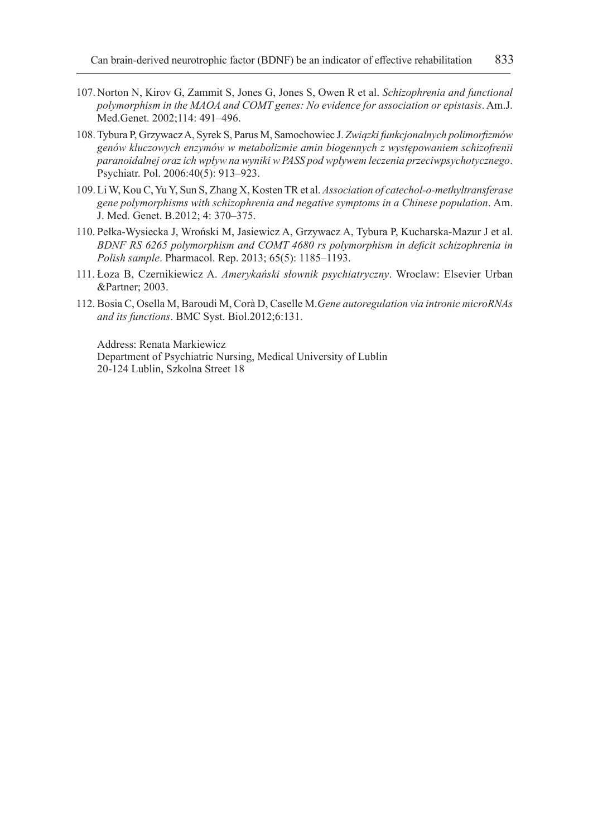- 107.Norton N, Kirov G, Zammit S, Jones G, Jones S, Owen R et al. *Schizophrenia and functional polymorphism in the MAOA and COMT genes: No evidence for association or epistasis*. Am.J. Med.Genet. 2002;114: 491–496.
- 108.Tybura P, Grzywacz A, Syrek S, Parus M, Samochowiec J. *Związki funkcjonalnych polimorfizmów genów kluczowych enzymów w metabolizmie amin biogennych z występowaniem schizofrenii paranoidalnej oraz ich wpływ na wyniki w PASS pod wpływem leczenia przeciwpsychotycznego*. Psychiatr. Pol. 2006:40(5): 913–923.
- 109.Li W, Kou C, Yu Y, Sun S, Zhang X, Kosten TR et al. *Association of catechol-o-methyltransferase gene polymorphisms with schizophrenia and negative symptoms in a Chinese population*. Am. J. Med. Genet. B.2012; 4: 370–375.
- 110. Pełka-Wysiecka J, Wroński M, Jasiewicz A, Grzywacz A, Tybura P, Kucharska-Mazur J et al. *BDNF RS 6265 polymorphism and COMT 4680 rs polymorphism in deficit schizophrenia in Polish sample*. Pharmacol. Rep. 2013; 65(5): 1185–1193.
- 111. Łoza B, Czernikiewicz A. *Amerykański słownik psychiatryczny*. Wroclaw: Elsevier Urban &Partner; 2003.
- 112. Bosia C, Osella M, Baroudi M, Corà D, Caselle M.*Gene autoregulation via intronic microRNAs and its functions*. BMC Syst. Biol.2012;6:131.

Address: Renata Markiewicz Department of Psychiatric Nursing, Medical University of Lublin 20-124 Lublin, Szkolna Street 18